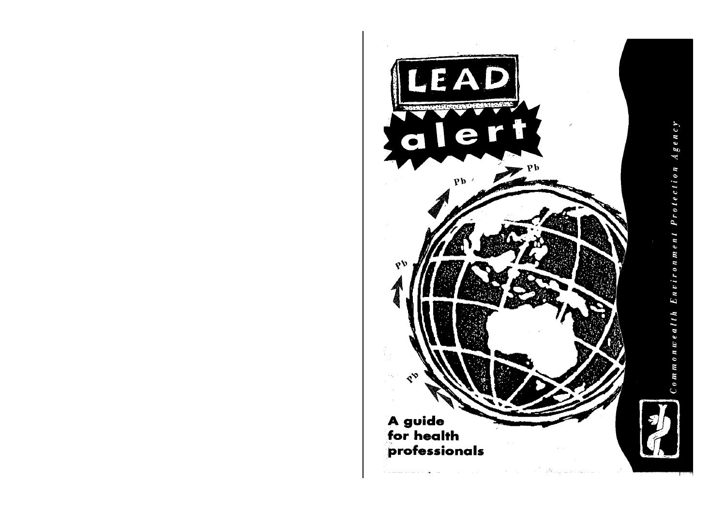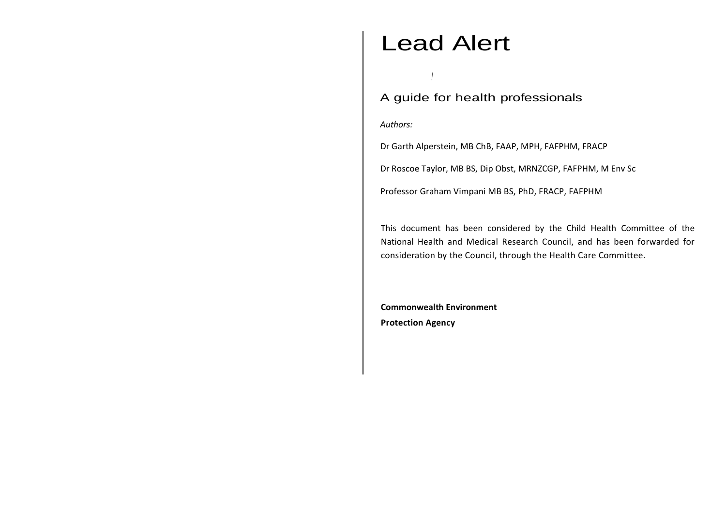# Lead Alert

/

A guide for health professionals

*Authors:*

Dr Garth Alperstein, MB ChB, FAAP, MPH, FAFPHM, FRACP

Dr Roscoe Taylor, MB BS, Dip Obst, MRNZCGP, FAFPHM, M Env Sc

Professor Graham Vimpani MB BS, PhD, FRACP, FAFPHM

This document has been considered by the Child Health Committee of the National Health and Medical Research Council, and has been forwarded for consideration by the Council, through the Health Care Committee.

**Commonwealth Environment Protection Agency**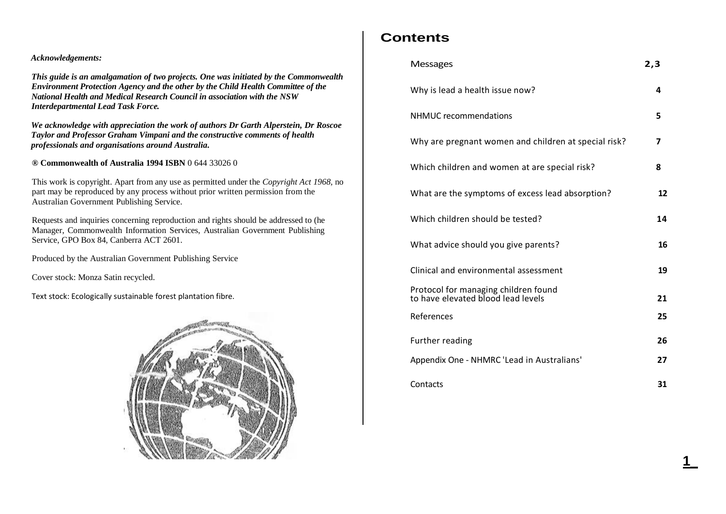### *Acknowledgements:*

*This guide is an amalgamation of two projects. One was initiated by the Commonwealth Environment Protection Agency and the other by the Child Health Committee of the National Health and Medical Research Council in association with the NSW Interdepartmental Lead Task Force.*

*We acknowledge with appreciation the work of authors Dr Garth Alperstein, Dr Roscoe Taylor and Professor Graham Vimpani and the constructive comments of health professionals and organisations around Australia.*

*®* **Commonwealth of Australia 1994 ISBN** 0 644 33026 0

This work is copyright. Apart from any use as permitted under the *Copyright Act 1968,* no part may be reproduced by any process without prior written permission from the Australian Government Publishing Service.

Requests and inquiries concerning reproduction and rights should be addressed to (he Manager, Commonwealth Information Services, Australian Government Publishing Service, GPO Box 84, Canberra ACT 2601.

Produced by the Australian Government Publishing Service

Cover stock: Monza Satin recycled.

Text stock: Ecologically sustainable forest plantation fibre.



# **Contents**

| <b>Messages</b>                                                            | 2,3 |
|----------------------------------------------------------------------------|-----|
| Why is lead a health issue now?                                            | 4   |
| NHMUC recommendations                                                      | 5   |
| Why are pregnant women and children at special risk?                       | 7   |
| Which children and women at are special risk?                              | 8   |
| What are the symptoms of excess lead absorption?                           | 12  |
| Which children should be tested?                                           | 14  |
| What advice should you give parents?                                       | 16  |
| Clinical and environmental assessment                                      | 19  |
| Protocol for managing children found<br>to have elevated blood lead levels | 21  |
| References                                                                 | 25  |
| Further reading                                                            | 26  |
| Appendix One - NHMRC 'Lead in Australians'                                 | 27  |
| Contacts                                                                   | 31  |

**1\_**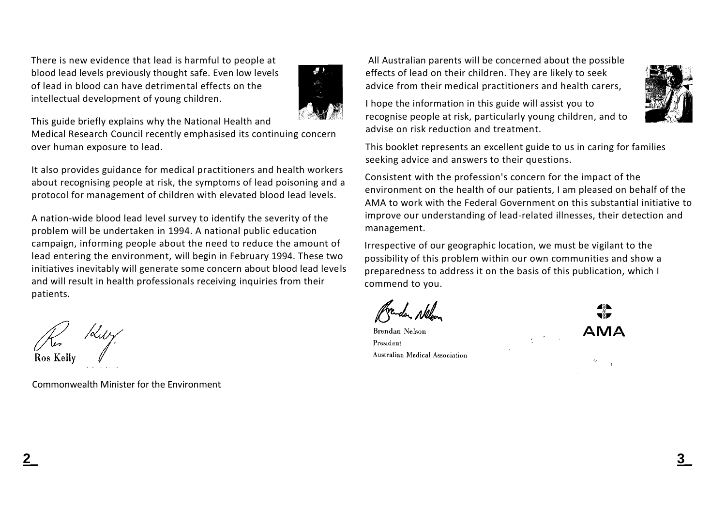There is new evidence that lead is harmful to people at blood lead levels previously thought safe. Even low levels of lead in blood can have detrimental effects on the intellectual development of young children.



This guide briefly explains why the National Health and

Medical Research Council recently emphasised its continuing concern over human exposure to lead.

It also provides guidance for medical practitioners and health workers about recognising people at risk, the symptoms of lead poisoning and a protocol for management of children with elevated blood lead levels.

A nation-wide blood lead level survey to identify the severity of the problem will be undertaken in 1994. A national public education campaign, informing people about the need to reduce the amount of lead entering the environment, will begin in February 1994. These two initiatives inevitably will generate some concern about blood lead levels and will result in health professionals receiving inquiries from their patients.

Commonwealth Minister for the Environment

All Australian parents will be concerned about the possible effects of lead on their children. They are likely to seek advice from their medical practitioners and health carers,

I hope the information in this guide will assist you to recognise people at risk, particularly young children, and to advise on risk reduction and treatment.

This booklet represents an excellent guide to us in caring for families seeking advice and answers to their questions.

Consistent with the profession's concern for the impact of the environment on the health of our patients, I am pleased on behalf of the AMA to work with the Federal Government on this substantial initiative to improve our understanding of lead-related illnesses, their detection and management.

Irrespective of our geographic location, we must be vigilant to the possibility of this problem within our own communities and show a preparedness to address it on the basis of this publication, which I commend to you.

**Brendan Nelson** President Australian Medical Association **AMA** 

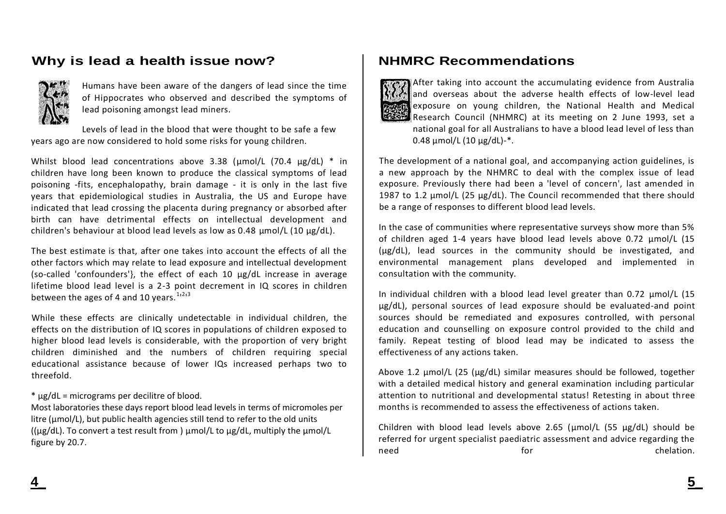# **Why is lead a health issue now?**



Humans have been aware of the dangers of lead since the time of Hippocrates who observed and described the symptoms of lead poisoning amongst lead miners.

Levels of lead in the blood that were thought to be safe a few years ago are now considered to hold some risks for young children.

Whilst blood lead concentrations above 3.38 (umol/L (70.4 µg/dL) \* in children have long been known to produce the classical symptoms of lead poisoning -fits, encephalopathy, brain damage - it is only in the last five years that epidemiological studies in Australia, the US and Europe have indicated that lead crossing the placenta during pregnancy or absorbed after birth can have detrimental effects on intellectual development and children's behaviour at blood lead levels as low as 0.48 µmol/L (10 µg/dL).

The best estimate is that, after one takes into account the effects of all the other factors which may relate to lead exposure and intellectual development (so-called 'confounders'}, the effect of each 10 µg/dL increase in average lifetime blood lead level is a 2-3 point decrement in IQ scores in children between the ages of 4 and 10 years.  $1213$ 

While these effects are clinically undetectable in individual children, the effects on the distribution of IQ scores in populations of children exposed to higher blood lead levels is considerable, with the proportion of very bright children diminished and the numbers of children requiring special educational assistance because of lower IQs increased perhaps two to threefold.

\* µg/dL = micrograms per decilitre of blood.

Most laboratories these days report blood lead levels in terms of micromoles per litre (umol/L), but public health agencies still tend to refer to the old units (( $\mu$ g/dL). To convert a test result from )  $\mu$ mol/L to  $\mu$ g/dL, multiply the  $\mu$ mol/L figure by 20.7.

# **NHMRC Recommendations**



After taking into account the accumulating evidence from Australia and overseas about the adverse health effects of low-level lead exposure on young children, the National Health and Medical Research Council (NHMRC) at its meeting on 2 June 1993, set a national goal for all Australians to have a blood lead level of less than 0.48  $\mu$ mol/L (10  $\mu$ g/dL)-\*.

The development of a national goal, and accompanying action guidelines, is a new approach by the NHMRC to deal with the complex issue of lead exposure. Previously there had been a 'level of concern', last amended in 1987 to 1.2 µmol/L (25 µg/dL). The Council recommended that there should be a range of responses to different blood lead levels.

In the case of communities where representative surveys show more than 5% of children aged 1-4 years have blood lead levels above 0.72 µmol/L (15 (µg/dL), lead sources in the community should be investigated, and environmental management plans developed and implemented in consultation with the community.

In individual children with a blood lead level greater than 0.72  $\mu$ mol/L (15 µg/dL), personal sources of lead exposure should be evaluated-and point sources should be remediated and exposures controlled, with personal education and counselling on exposure control provided to the child and family. Repeat testing of blood lead may be indicated to assess the effectiveness of any actions taken.

Above 1.2  $\mu$ mol/L (25 ( $\mu$ g/dL) similar measures should be followed, together with a detailed medical history and general examination including particular attention to nutritional and developmental status! Retesting in about three months is recommended to assess the effectiveness of actions taken.

Children with blood lead levels above 2.65 ( $\mu$ mol/L (55  $\mu$ g/dL) should be referred for urgent specialist paediatric assessment and advice regarding the need **for** for the chelation.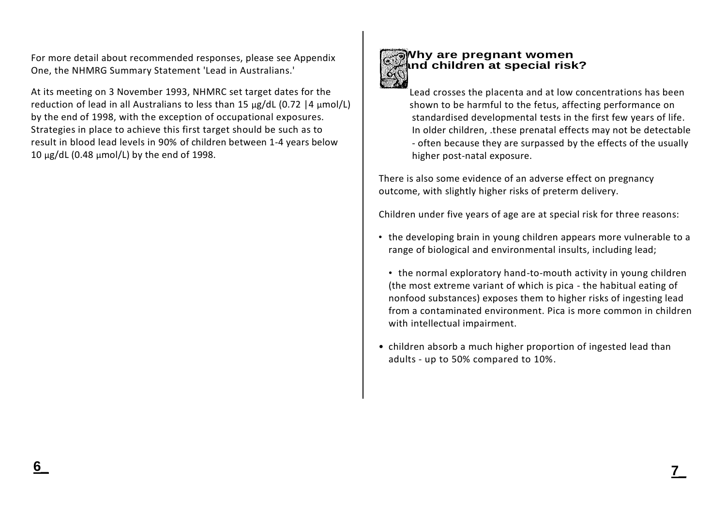For more detail about recommended responses, please see Appendix One, the NHMRG Summary Statement 'Lead in Australians.'

At its meeting on 3 November 1993, NHMRC set target dates for the reduction of lead in all Australians to less than 15  $\mu$ g/dL (0.72 |4  $\mu$ mol/L) by the end of 1998, with the exception of occupational exposures. Strategies in place to achieve this first target should be such as to result in blood lead levels in 90% of children between 1-4 years below 10 µg/dL (0.48 µmol/L) by the end of 1998.



# **Why are pregnant women and children at special risk?**

Lead crosses the placenta and at low concentrations has been shown to be harmful to the fetus, affecting performance on standardised developmental tests in the first few years of life. In older children, .these prenatal effects may not be detectable - often because they are surpassed by the effects of the usually higher post-natal exposure.

There is also some evidence of an adverse effect on pregnancy outcome, with slightly higher risks of preterm delivery.

Children under five years of age are at special risk for three reasons:

- the developing brain in young children appears more vulnerable to a range of biological and environmental insults, including lead;
	- the normal exploratory hand-to-mouth activity in young children (the most extreme variant of which is pica - the habitual eating of nonfood substances) exposes them to higher risks of ingesting lead from a contaminated environment. Pica is more common in children with intellectual impairment.
- children absorb a much higher proportion of ingested lead than adults - up to 50% compared to 10%.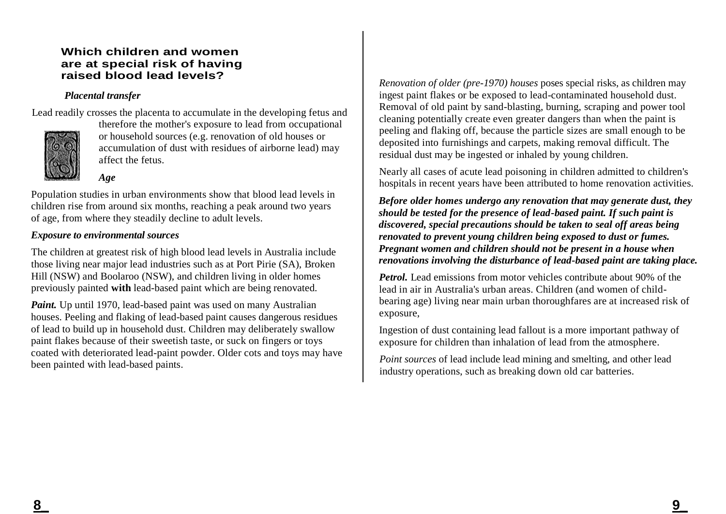### **Which children and women are at special risk of having raised blood lead levels?**

### *Placental transfer*

Lead readily crosses the placenta to accumulate in the developing fetus and



therefore the mother's exposure to lead from occupational or household sources (e.g. renovation of old houses or accumulation of dust with residues of airborne lead) may affect the fetus.

*Age*

Population studies in urban environments show that blood lead levels in children rise from around six months, reaching a peak around two years of age, from where they steadily decline to adult levels.

### *Exposure to environmental sources*

The children at greatest risk of high blood lead levels in Australia include those living near major lead industries such as at Port Pirie (SA), Broken Hill (NSW) and Boolaroo (NSW), and children living in older homes previously painted **with** lead-based paint which are being renovated.

*Paint.* Up until 1970, lead-based paint was used on many Australian houses. Peeling and flaking of lead-based paint causes dangerous residues of lead to build up in household dust. Children may deliberately swallow paint flakes because of their sweetish taste, or suck on fingers or toys coated with deteriorated lead-paint powder. Older cots and toys may have been painted with lead-based paints.

*Renovation of older (pre-1970) houses* poses special risks, as children may ingest paint flakes or be exposed to lead-contaminated household dust. Removal of old paint by sand-blasting, burning, scraping and power tool cleaning potentially create even greater dangers than when the paint is peeling and flaking off, because the particle sizes are small enough to be deposited into furnishings and carpets, making removal difficult. The residual dust may be ingested or inhaled by young children.

Nearly all cases of acute lead poisoning in children admitted to children's hospitals in recent years have been attributed to home renovation activities.

*Before older homes undergo any renovation that may generate dust, they should be tested for the presence of lead-based paint. If such paint is discovered, special precautions should be taken to seal off areas being renovated to prevent young children being exposed to dust or fumes. Pregnant women and children should not be present in a house when renovations involving the disturbance of lead-based paint are taking place.*

*Petrol.* Lead emissions from motor vehicles contribute about 90% of the lead in air in Australia's urban areas. Children (and women of childbearing age) living near main urban thoroughfares are at increased risk of exposure,

Ingestion of dust containing lead fallout is a more important pathway of exposure for children than inhalation of lead from the atmosphere.

*Point sources* of lead include lead mining and smelting, and other lead industry operations, such as breaking down old car batteries.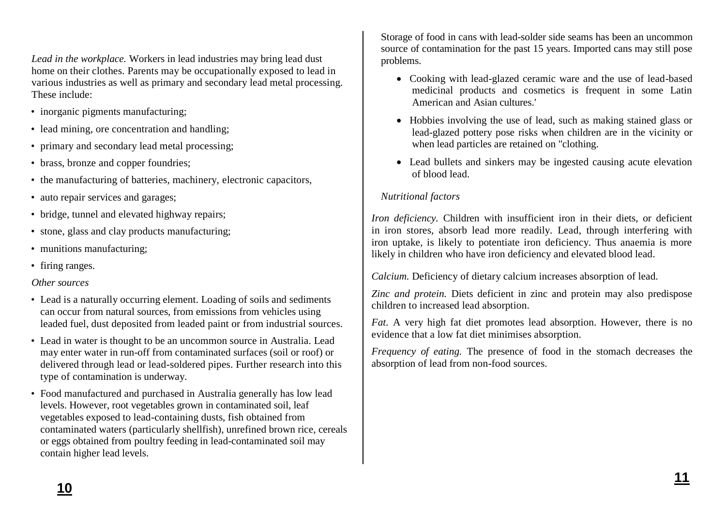*Lead in the workplace.* Workers in lead industries may bring lead dust home on their clothes. Parents may be occupationally exposed to lead in various industries as well as primary and secondary lead metal processing. These include:

- inorganic pigments manufacturing;
- lead mining, ore concentration and handling;
- primary and secondary lead metal processing;
- brass, bronze and copper foundries;
- the manufacturing of batteries, machinery, electronic capacitors,
- auto repair services and garages;
- bridge, tunnel and elevated highway repairs;
- stone, glass and clay products manufacturing;
- munitions manufacturing:
- firing ranges.

## *Other sources*

- Lead is a naturally occurring element. Loading of soils and sediments can occur from natural sources, from emissions from vehicles using leaded fuel, dust deposited from leaded paint or from industrial sources.
- Lead in water is thought to be an uncommon source in Australia. Lead may enter water in run-off from contaminated surfaces (soil or roof) or delivered through lead or lead-soldered pipes. Further research into this type of contamination is underway.
- Food manufactured and purchased in Australia generally has low lead levels. However, root vegetables grown in contaminated soil, leaf vegetables exposed to lead-containing dusts, fish obtained from contaminated waters (particularly shellfish), unrefined brown rice, cereals or eggs obtained from poultry feeding in lead-contaminated soil may contain higher lead levels.

Storage of food in cans with lead-solder side seams has been an uncommon source of contamination for the past 15 years. Imported cans may still pose problems.

- Cooking with lead-glazed ceramic ware and the use of lead-based medicinal products and cosmetics is frequent in some Latin American and Asian cultures.'
- Hobbies involving the use of lead, such as making stained glass or lead-glazed pottery pose risks when children are in the vicinity or when lead particles are retained on "clothing.
- Lead bullets and sinkers may be ingested causing acute elevation of blood lead.

# *Nutritional factors*

*Iron deficiency.* Children with insufficient iron in their diets, or deficient in iron stores, absorb lead more readily. Lead, through interfering with iron uptake, is likely to potentiate iron deficiency. Thus anaemia is more likely in children who have iron deficiency and elevated blood lead.

*Calcium.* Deficiency of dietary calcium increases absorption of lead.

*Zinc and protein.* Diets deficient in zinc and protein may also predispose children to increased lead absorption.

*Fat.* A very high fat diet promotes lead absorption. However, there is no evidence that a low fat diet minimises absorption.

*Frequency of eating.* The presence of food in the stomach decreases the absorption of lead from non-food sources.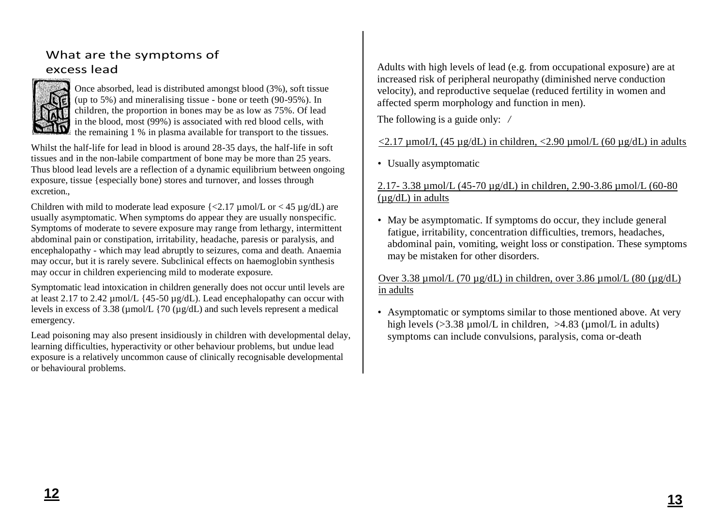# What are the symptoms of excess lead



Once absorbed, lead is distributed amongst blood  $(3\%)$ , soft tissue (up to 5%) and mineralising tissue - bone or teeth (90-95%). In children, the proportion in bones may be as low as 75%. Of lead in the blood, most (99%) is associated with red blood cells, with the remaining 1 % in plasma available for transport to the tissues.

Whilst the half-life for lead in blood is around 28-35 days, the half-life in soft tissues and in the non-labile compartment of bone may be more than 25 years. Thus blood lead levels are a reflection of a dynamic equilibrium between ongoing exposure, tissue {especially bone) stores and turnover, and losses through excretion.,

Children with mild to moderate lead exposure  $\{\langle 2.17 \text{ }\mu\text{mol/L or } \langle 45 \text{ }\mu\text{g/dL} \rangle\}$  are usually asymptomatic. When symptoms do appear they are usually nonspecific. Symptoms of moderate to severe exposure may range from lethargy, intermittent abdominal pain or constipation, irritability, headache, paresis or paralysis, and encephalopathy - which may lead abruptly to seizures, coma and death. Anaemia may occur, but it is rarely severe. Subclinical effects on haemoglobin synthesis may occur in children experiencing mild to moderate exposure.

Symptomatic lead intoxication in children generally does not occur until levels are at least 2.17 to 2.42 µmol/L {45-50 µg/dL). Lead encephalopathy can occur with levels in excess of 3.38 ( $\mu$ mol/L {70 ( $\mu$ g/dL) and such levels represent a medical emergency.

Lead poisoning may also present insidiously in children with developmental delay, learning difficulties, hyperactivity or other behaviour problems, but undue lead exposure is a relatively uncommon cause of clinically recognisable developmental or behavioural problems.

Adults with high levels of lead (e.g. from occupational exposure) are at increased risk of peripheral neuropathy (diminished nerve conduction velocity), and reproductive sequelae (reduced fertility in women and affected sperm morphology and function in men).

The following is a guide only: */*

# <2.17 µmoI/I, (45 µg/dL) in children, <2.90 µmol/L (60 µg/dL) in adults

• Usually asymptomatic

### 2.17- 3.38 µmol/L (45-70 µg/dL) in children, 2.90-3.86 µmol/L (60-80  $(\mu$ g/dL) in adults

• May be asymptomatic. If symptoms do occur, they include general fatigue, irritability, concentration difficulties, tremors, headaches, abdominal pain, vomiting, weight loss or constipation. These symptoms may be mistaken for other disorders.

## Over 3.38 µmol/L (70 µg/dL) in children, over 3.86 µmol/L (80 (µg/dL) in adults

• Asymptomatic or symptoms similar to those mentioned above. At very high levels  $(>=3.38 \text{ umol/L} \text{ in children. } >4.83 \text{ (umol/L in adults)}$ symptoms can include convulsions, paralysis, coma or-death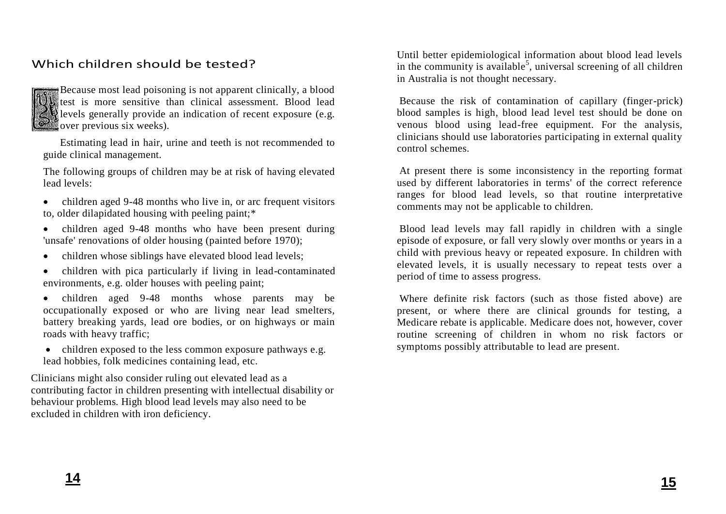# Which children should be tested?



Because most lead poisoning is not apparent clinically, a blood test is more sensitive than clinical assessment. Blood lead levels generally provide an indication of recent exposure (e.g. over previous six weeks).

Estimating lead in hair, urine and teeth is not recommended to guide clinical management.

The following groups of children may be at risk of having elevated lead levels:

- children aged 9-48 months who live in, or arc frequent visitors to, older dilapidated housing with peeling paint;\*
- children aged 9-48 months who have been present during 'unsafe' renovations of older housing (painted before 1970);
- children whose siblings have elevated blood lead levels;
- children with pica particularly if living in lead-contaminated environments, e.g. older houses with peeling paint;
- children aged 9-48 months whose parents may be occupationally exposed or who are living near lead smelters, battery breaking yards, lead ore bodies, or on highways or main roads with heavy traffic;
- $\bullet$  children exposed to the less common exposure pathways e.g. lead hobbies, folk medicines containing lead, etc.

Clinicians might also consider ruling out elevated lead as a contributing factor in children presenting with intellectual disability or behaviour problems. High blood lead levels may also need to be excluded in children with iron deficiency.

Until better epidemiological information about blood lead levels in the community is available<sup>5</sup>, universal screening of all children in Australia is not thought necessary.

Because the risk of contamination of capillary (finger-prick) blood samples is high, blood lead level test should be done on venous blood using lead-free equipment. For the analysis, clinicians should use laboratories participating in external quality control schemes.

At present there is some inconsistency in the reporting format used by different laboratories in terms' of the correct reference ranges for blood lead levels, so that routine interpretative comments may not be applicable to children.

Blood lead levels may fall rapidly in children with a single episode of exposure, or fall very slowly over months or years in a child with previous heavy or repeated exposure. In children with elevated levels, it is usually necessary to repeat tests over a period of time to assess progress.

Where definite risk factors (such as those fisted above) are present, or where there are clinical grounds for testing, a Medicare rebate is applicable. Medicare does not, however, cover routine screening of children in whom no risk factors or symptoms possibly attributable to lead are present.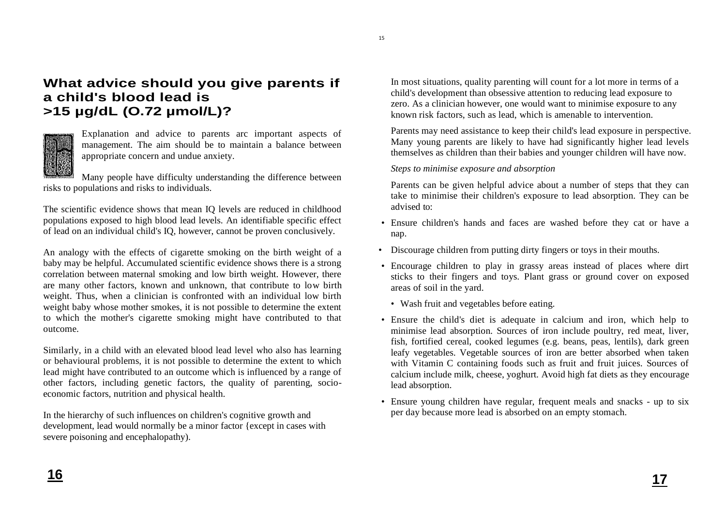# **What advice should you give parents if a child's blood lead is >15 µg/dL (O.72 µmol/L)?**



Explanation and advice to parents arc important aspects of management. The aim should be to maintain a balance between appropriate concern and undue anxiety.

Many people have difficulty understanding the difference between risks to populations and risks to individuals.

The scientific evidence shows that mean IQ levels are reduced in childhood populations exposed to high blood lead levels. An identifiable specific effect of lead on an individual child's IQ, however, cannot be proven conclusively.

An analogy with the effects of cigarette smoking on the birth weight of a baby may be helpful. Accumulated scientific evidence shows there is a strong correlation between maternal smoking and low birth weight. However, there are many other factors, known and unknown, that contribute to low birth weight. Thus, when a clinician is confronted with an individual low birth weight baby whose mother smokes, it is not possible to determine the extent to which the mother's cigarette smoking might have contributed to that outcome.

Similarly, in a child with an elevated blood lead level who also has learning or behavioural problems, it is not possible to determine the extent to which lead might have contributed to an outcome which is influenced by a range of other factors, including genetic factors, the quality of parenting, socioeconomic factors, nutrition and physical health.

In the hierarchy of such influences on children's cognitive growth and development, lead would normally be a minor factor {except in cases with severe poisoning and encephalopathy).

In most situations, quality parenting will count for a lot more in terms of a child's development than obsessive attention to reducing lead exposure to zero. As a clinician however, one would want to minimise exposure to any known risk factors, such as lead, which is amenable to intervention.

Parents may need assistance to keep their child's lead exposure in perspective. Many young parents are likely to have had significantly higher lead levels themselves as children than their babies and younger children will have now.

*Steps to minimise exposure and absorption*

Parents can be given helpful advice about a number of steps that they can take to minimise their children's exposure to lead absorption. They can be advised to:

- Ensure children's hands and faces are washed before they cat or have a nap.
- Discourage children from putting dirty fingers or toys in their mouths.
- Encourage children to play in grassy areas instead of places where dirt sticks to their fingers and toys. Plant grass or ground cover on exposed areas of soil in the yard.
	- Wash fruit and vegetables before eating.
- Ensure the child's diet is adequate in calcium and iron, which help to minimise lead absorption. Sources of iron include poultry, red meat, liver, fish, fortified cereal, cooked legumes (e.g. beans, peas, lentils), dark green leafy vegetables. Vegetable sources of iron are better absorbed when taken with Vitamin C containing foods such as fruit and fruit juices. Sources of calcium include milk, cheese, yoghurt. Avoid high fat diets as they encourage lead absorption.
- Ensure young children have regular, frequent meals and snacks up to six per day because more lead is absorbed on an empty stomach.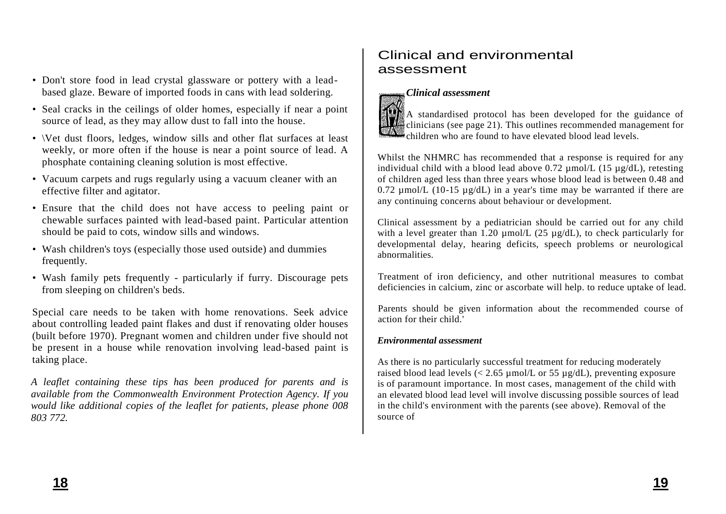- Don't store food in lead crystal glassware or pottery with a leadbased glaze. Beware of imported foods in cans with lead soldering.
- Seal cracks in the ceilings of older homes, especially if near a point source of lead, as they may allow dust to fall into the house.
- \Vet dust floors, ledges, window sills and other flat surfaces at least weekly, or more often if the house is near a point source of lead. A phosphate containing cleaning solution is most effective.
- Vacuum carpets and rugs regularly using a vacuum cleaner with an effective filter and agitator.
- Ensure that the child does not have access to peeling paint or chewable surfaces painted with lead-based paint. Particular attention should be paid to cots, window sills and windows.
- Wash children's toys (especially those used outside) and dummies frequently.
- Wash family pets frequently particularly if furry. Discourage pets from sleeping on children's beds.

Special care needs to be taken with home renovations. Seek advice about controlling leaded paint flakes and dust if renovating older houses (built before 1970). Pregnant women and children under five should not be present in a house while renovation involving lead-based paint is taking place.

*A leaflet containing these tips has been produced for parents and is available from the Commonwealth Environment Protection Agency. If you would like additional copies of the leaflet for patients, please phone 008 803 772.*

# Clinical and environmental assessment



# *Clinical assessment*

A standardised protocol has been developed for the guidance of clinicians (see page 21). This outlines recommended management for children who are found to have elevated blood lead levels.

Whilst the NHMRC has recommended that a response is required for any individual child with a blood lead above  $0.72 \text{ mmol/L}$  (15  $\mu$ g/dL), retesting of children aged less than three years whose blood lead is between 0.48 and 0.72  $\mu$ mol/L (10-15  $\mu$ g/dL) in a year's time may be warranted if there are any continuing concerns about behaviour or development.

Clinical assessment by a pediatrician should be carried out for any child with a level greater than 1.20  $\mu$ mol/L (25  $\mu$ g/dL), to check particularly for developmental delay, hearing deficits, speech problems or neurological abnormalities.

Treatment of iron deficiency, and other nutritional measures to combat deficiencies in calcium, zinc or ascorbate will help. to reduce uptake of lead.

Parents should be given information about the recommended course of action for their child.'

### *Environmental assessment*

As there is no particularly successful treatment for reducing moderately raised blood lead levels ( $\lt$  2.65 µmol/L or 55 µg/dL), preventing exposure is of paramount importance. In most cases, management of the child with an elevated blood lead level will involve discussing possible sources of lead in the child's environment with the parents (see above). Removal of the source of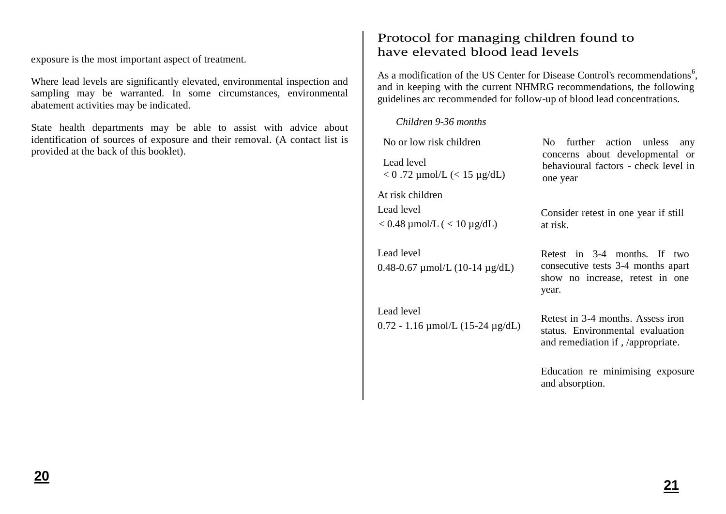exposure is the most important aspect of treatment.

Where lead levels are significantly elevated, environmental inspection and sampling may be warranted. In some circumstances, environmental abatement activities may be indicated.

State health departments may be able to assist with advice about identification of sources of exposure and their removal. (A contact list is provided at the back of this booklet).

# Protocol for managing children found to have elevated blood lead levels

As a modification of the US Center for Disease Control's recommendations<sup>6</sup>, and in keeping with the current NHMRG recommendations, the following guidelines arc recommended for follow-up of blood lead concentrations.

*Children 9-36 months*

0.72 - 1.16 µmol/L (15-24 µg/dL)

Lead level

No or low risk children Lead level  $< 0.72$  µmol/L ( $< 15$  µg/dL) At risk children Lead level  $< 0.48$  µmol/L ( $< 10$  µg/dL) Lead level 0.48-0.67 µmol/L (10-14 µg/dL) No further action unless any concerns about developmental or behavioural factors - check level in one year Consider retest in one year if still at risk. Retest in 3-4 months. If two

consecutive tests 3-4 months apart show no increase, retest in one year.

Retest in 3-4 months. Assess iron status. Environmental evaluation and remediation if , /appropriate.

Education re minimising exposure and absorption.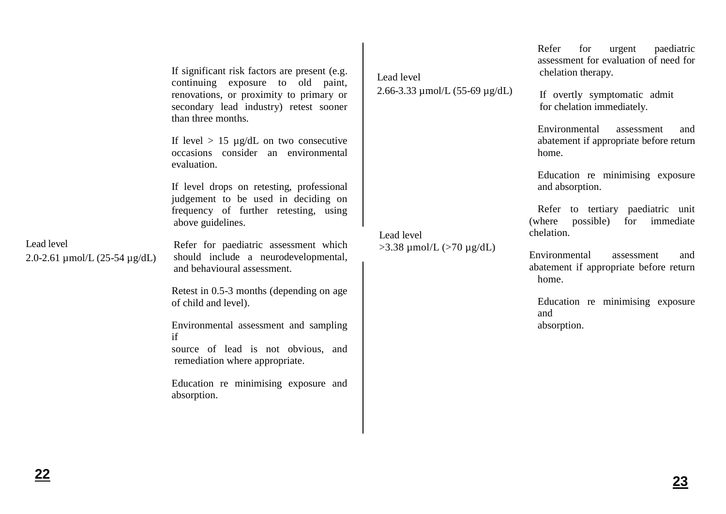|                                                       | If significant risk factors are present (e.g.<br>continuing exposure to old paint,<br>renovations, or proximity to primary or<br>secondary lead industry) retest sooner<br>than three months. | Lead level<br>2.66-3.33 $\mu$ mol/L (55-69 $\mu$ g/dL) |
|-------------------------------------------------------|-----------------------------------------------------------------------------------------------------------------------------------------------------------------------------------------------|--------------------------------------------------------|
|                                                       | If level $> 15 \mu g/dL$ on two consecutive<br>occasions consider an environmental<br>evaluation.                                                                                             |                                                        |
|                                                       | If level drops on retesting, professional<br>judgement to be used in deciding on<br>frequency of further retesting, using<br>above guidelines.                                                |                                                        |
| Lead level<br>2.0-2.61 $\mu$ mol/L (25-54 $\mu$ g/dL) | Refer for paediatric assessment which<br>should include a neurodevelopmental,<br>and behavioural assessment.                                                                                  | Lead level<br>$>$ 3.38 μmol/L ( $>$ 70 μg/dL)          |
|                                                       | Retest in 0.5-3 months (depending on age<br>of child and level).                                                                                                                              |                                                        |
|                                                       | Environmental assessment and sampling<br>if<br>source of lead is not obvious, and<br>remediation where appropriate.                                                                           |                                                        |
|                                                       | Education re minimising exposure and<br>absorption.                                                                                                                                           |                                                        |

 $\blacksquare$ 

Refer for urgent paediatric assessment for evaluation of need for chelation therapy.

If overtly symptomatic admit for chelation immediately.

Environmental assessment and abatement if appropriate before return home.

Education re minimising exposure and absorption.

Refer to tertiary paediatric unit (where possible) for immediate chelation.

Environmental assessment and abatement if appropriate before return home.

Education re minimising exposure and absorption.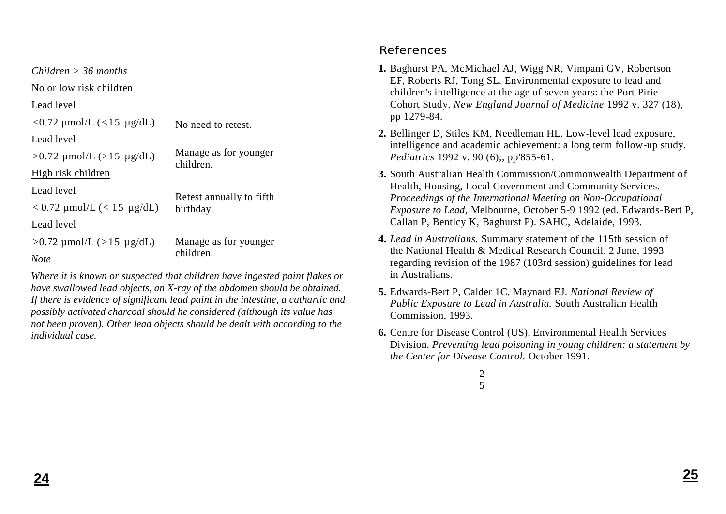| $Children > 36$ months          |                                    |  |
|---------------------------------|------------------------------------|--|
| No or low risk children         |                                    |  |
| Lead level                      |                                    |  |
| $<$ 0.72 μmol/L ( $<$ 15 μg/dL) | No need to retest.                 |  |
| Lead level                      |                                    |  |
| $>0.72$ µmol/L ( $>15$ µg/dL)   | Manage as for younger<br>children. |  |
| High risk children              |                                    |  |
| Lead level                      | Retest annually to fifth           |  |
| $< 0.72$ µmol/L ( $< 15$ µg/dL) | birthday.                          |  |
| Lead level                      |                                    |  |
| $>0.72$ µmol/L ( $>15$ µg/dL)   | Manage as for younger              |  |
| <b>Note</b>                     | children.                          |  |

*Where it is known or suspected that children have ingested paint flakes or have swallowed lead objects, an X-ray of the abdomen should be obtained. If there is evidence of significant lead paint in the intestine, a cathartic and possibly activated charcoal should he considered (although its value has not been proven). Other lead objects should be dealt with according to the individual case.*

# References

- **1.** Baghurst PA, McMichael AJ, Wigg NR, Vimpani GV, Robertson EF, Roberts RJ, Tong SL. Environmental exposure to lead and children's intelligence at the age of seven years: the Port Pirie Cohort Study. *New England Journal of Medicine* 1992 v. 327 (18), pp 1279-84.
- **2.** Bellinger D, Stiles KM, Needleman HL. Low-level lead exposure, intelligence and academic achievement: a long term follow-up study. *Pediatrics* 1992 v. 90 (6);, pp'855-61.
- **3.** South Australian Health Commission/Commonwealth Department of Health, Housing, Local Government and Community Services. *Proceedings of the International Meeting on Non-Occupational Exposure to Lead,* Melbourne, October 5-9 1992 (ed. Edwards-Bert P, Callan P, Bentlcy K, Baghurst P). SAHC, Adelaide, 1993.
- **4.** *Lead in Australians.* Summary statement of the 115th session of the National Health & Medical Research Council, 2 June, 1993 regarding revision of the 1987 (103rd session) guidelines for lead in Australians.
- **5.** Edwards-Bert P, Calder 1C, Maynard EJ. *National Review of Public Exposure to Lead in Australia.* South Australian Health Commission, 1993.
- **6.** Centre for Disease Control (US), Environmental Health Services Division. *Preventing lead poisoning in young children: a statement by the Center for Disease Control.* October 1991.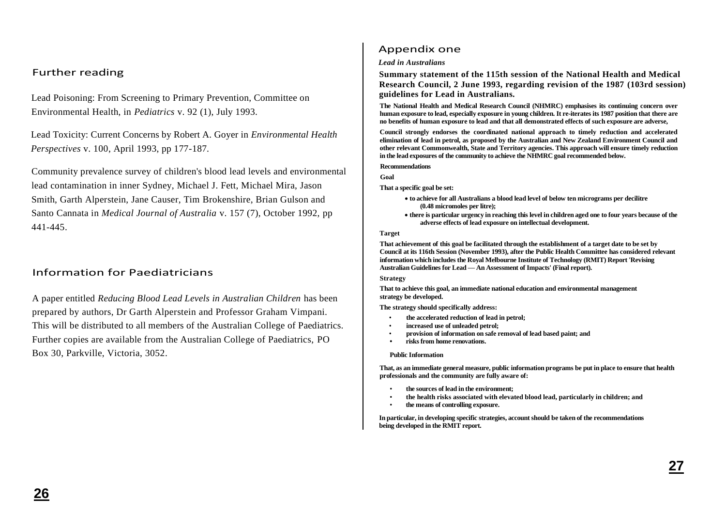### Further reading

Lead Poisoning: From Screening to Primary Prevention, Committee on Environmental Health, in *Pediatrics* v. 92 (1), July 1993.

Lead Toxicity: Current Concerns by Robert A. Goyer in *Environmental Health Perspectives* v. 100, April 1993, pp 177-187.

Community prevalence survey of children's blood lead levels and environmental lead contamination in inner Sydney, Michael J. Fett, Michael Mira, Jason Smith, Garth Alperstein, Jane Causer, Tim Brokenshire, Brian Gulson and Santo Cannata in *Medical Journal of Australia* v. 157 (7), October 1992, pp 441-445.

### Information for Paediatricians

A paper entitled *Reducing Blood Lead Levels in Australian Children* has been prepared by authors, Dr Garth Alperstein and Professor Graham Vimpani. This will be distributed to all members of the Australian College of Paediatrics. Further copies are available from the Australian College of Paediatrics, PO Box 30, Parkville, Victoria, 3052.

### Appendix one

#### *Lead in Australians*

**Summary statement of the 115th session of the National Health and Medical Research Council, 2 June 1993, regarding revision of the 1987 (103rd session) guidelines for Lead in Australians.**

**The National Health and Medical Research Council (NHMRC) emphasises its continuing concern over human exposure to lead, especially exposure in young children. It re-iterates its 1987 position that there are no benefits of human exposure to lead and that all demonstrated effects of such exposure are adverse,**

**Council strongly endorses the coordinated national approach to timely reduction and accelerated elimination of lead in petrol, as proposed by the Australian and New Zealand Environment Council and other relevant Commonwealth, State and Territory agencies. This approach will ensure timely reduction in the lead exposures of the community to achieve the NHMRC goal recommended below.**

#### **Recommendations**

**Goal**

**That a specific goal be set:**

- **to achieve for all Australians a blood lead level of below ten micrograms per decilitre (0.48 micromoles per litre);**
- **there is particular urgency in reaching this level in children aged one to four years because of the adverse effects of lead exposure on intellectual development.**

#### **Target**

**That achievement of this goal be facilitated through the establishment of a target date to be set by Council at its 116th Session (November 1993), after the Public Health Committee has considered relevant information which includes the Royal Melbourne Institute of Technology (RMIT) Report 'Revising Australian Guidelines for Lead — An Assessment of Impacts' (Final report).**

#### **Strategy**

**That to achieve this goal, an immediate national education and environmental management strategy be developed.**

**The strategy should specifically address:**

- **the accelerated reduction of lead in petrol;**
- **increased use of unleaded petrol;**
- **provision of information on safe removal of lead based paint; and**
- **• risks from home renovations.**

#### **Public Information**

**That, as an immediate general measure, public information programs be put in place to ensure that health professionals and the community are fully aware of:**

- **the sources of lead in the environment;**
- **the health risks associated with elevated blood lead, particularly in children; and**
- **the means of controlling exposure.**

**In particular, in developing specific strategies, account should be taken of the recommendations being developed in the RMIT report.**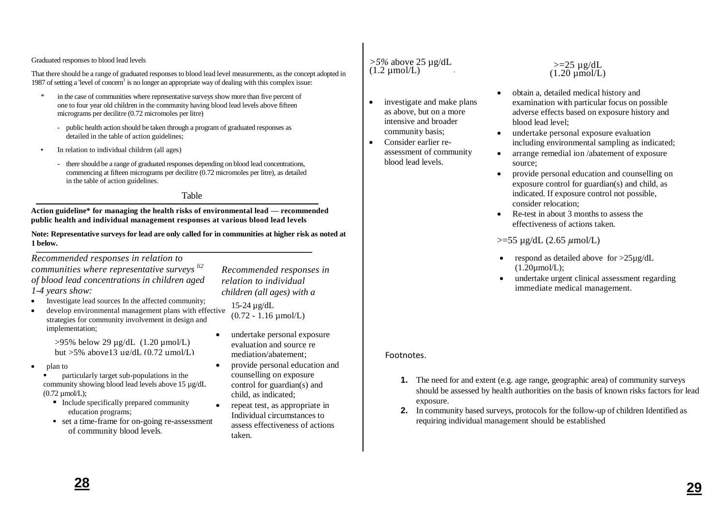#### Graduated responses to blood lead levels

That there should be a range of graduated responses to blood lead level measurements, as the concept adopted in 1987 of setting a 'level of concern<sup>1</sup> is no longer an appropriate way of dealing with this complex issue:

- \* in the case of communities where representative surveys show more than five percent of one to four year old children in the community having blood lead levels above fifteen micrograms per decilitre (0.72 micromoles per litre)
	- public health action should be taken through a program of graduated responses as detailed in the table of action guidelines;
- In relation to individual children (all ages)
	- there should be a range of graduated responses depending on blood lead concentrations, commencing at fifteen micrograms per decilitre (0.72 micromoles per litre), as detailed in the table of action guidelines.

#### Table

**Action guideline\* for managing the health risks of environmental lead — recommended public health and individual management responses at various blood lead levels**

**Note: Representative surveys for lead are only called for in communities at higher risk as noted at 1 below.**

*Recommended responses in relation to communities where representative surveys li2 of blood lead concentrations in children aged 1-4 years show:*

- Investigate lead sources In the affected community:
- develop environmental management plans with effective strategies for community involvement in design and implementation;

>95% below 29 µg/dL (1.20 µmol/L) but  $>5\%$  above 13  $\mu$ g/dL (0.72  $\mu$ mol/L)

- plan to
	- **Particularly target sub-populations in the** community showing blood lead levels above 15 µg/dL  $(0.72 \mu mol/L);$ 
		- $\blacksquare$  Include specifically prepared community education programs;
		- set a time-frame for on-going re-assessment of community blood levels.

*Recommended responses in relation to individual children (all ages) with a* 

- *blood lead concentration of:* 15-24 µg/dL
- $(0.72 1.16 \mu m o/L)$
- undertake personal exposure evaluation and source re mediation/abatement;
- provide personal education and counselling on exposure control for guardian(s) and child, as indicated;
- repeat test, as appropriate in Individual circumstances to assess effectiveness of actions taken.

### *>5%* above 25 µg/dL  $(1.2 \mu \text{mol/L})$

• investigate and make plans as above, but on a more intensive and broader community basis;

.

• Consider earlier reassessment of community blood lead levels.

- $>=25 \text{ u}g/dL$  $(1.20 \mu mol/L)$
- obtain a, detailed medical history and examination with particular focus on possible adverse effects based on exposure history and blood lead level;
- undertake personal exposure evaluation including environmental sampling as indicated;
- arrange remedial ion /abatement of exposure source;
- provide personal education and counselling on exposure control for guardian(s) and child, as indicated. If exposure control not possible, consider relocation;
- Re-test in about 3 months to assess the effectiveness of actions taken.

### $>=$ 55 µg/dL (2.65 µmol/L)

- respond as detailed above for  $>25\mu g/dL$  $(1.20$ umol/L $):$
- undertake urgent clinical assessment regarding immediate medical management.

### Footnotes.

- **1.** The need for and extent (e.g. age range, geographic area) of community surveys should be assessed by health authorities on the basis of known risks factors for lead exposure.
- **2.** In community based surveys, protocols for the follow-up of children Identified as requiring individual management should be established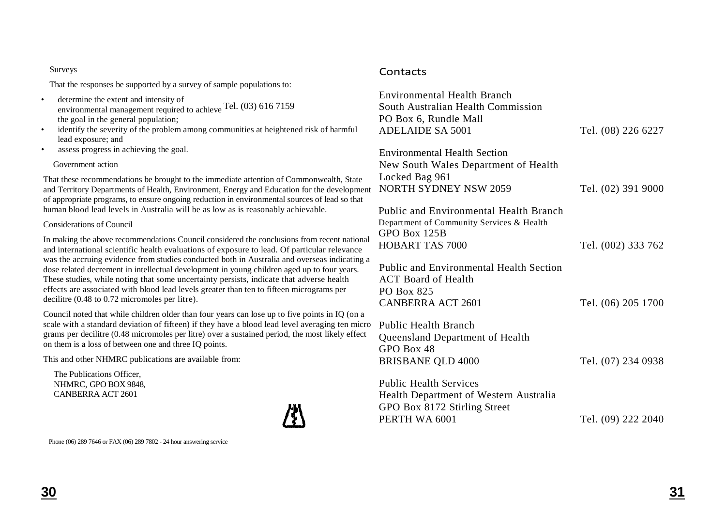#### Surveys

That the responses be supported by a survey of sample populations to:

- determine the extent and intensity of environmental management required to achieve Tel. (03) 616 7159 the goal in the general population;
- identify the severity of the problem among communities at heightened risk of harmful lead exposure; and
- assess progress in achieving the goal.

### Government action

That these recommendations be brought to the immediate attention of Commonwealth, State and Territory Departments of Health, Environment, Energy and Education for the development of appropriate programs, to ensure ongoing reduction in environmental sources of lead so that human blood lead levels in Australia will be as low as is reasonably achievable.

### Considerations of Council

In making the above recommendations Council considered the conclusions from recent national and international scientific health evaluations of exposure to lead. Of particular relevance was the accruing evidence from studies conducted both in Australia and overseas indicating a dose related decrement in intellectual development in young children aged up to four years. These studies, while noting that some uncertainty persists, indicate that adverse health effects are associated with blood lead levels greater than ten to fifteen micrograms per decilitre (0.48 to 0.72 micromoles per litre).

Council noted that while children older than four years can lose up to five points in IQ (on a scale with a standard deviation of fifteen) if they have a blood lead level averaging ten micro grams per decilitre (0.48 micromoles per litre) over a sustained period, the most likely effect on them is a loss of between one and three IQ points.

This and other NHMRC publications are available from:

The Publications Officer, NHMRC, GPO BOX 9848, CANBERRA ACT 2601



Phone (06) 289 7646 or FAX (06) 289 7802 - 24 hour answering service

### **Contacts**

| <b>Environmental Health Branch</b><br>South Australian Health Commission<br>PO Box 6, Rundle Mall<br><b>ADELAIDE SA 5001</b>         | Tel. (08) 226 6227 |
|--------------------------------------------------------------------------------------------------------------------------------------|--------------------|
| <b>Environmental Health Section</b><br>New South Wales Department of Health<br>Locked Bag 961<br><b>NORTH SYDNEY NSW 2059</b>        | Tel. (02) 391 9000 |
| <b>Public and Environmental Health Branch</b><br>Department of Community Services & Health<br>GPO Box 125B<br><b>HOBART TAS 7000</b> | Tel. (002) 333 762 |
| <b>Public and Environmental Health Section</b><br><b>ACT</b> Board of Health<br>PO Box 825<br>CANBERRA ACT 2601                      | Tel. (06) 205 1700 |
| <b>Public Health Branch</b><br>Queensland Department of Health<br>GPO Box 48<br><b>BRISBANE QLD 4000</b>                             | Tel. (07) 234 0938 |
| <b>Public Health Services</b><br>Health Department of Western Australia<br>GPO Box 8172 Stirling Street<br>PERTH WA 6001             | Tel. (09) 222 2040 |